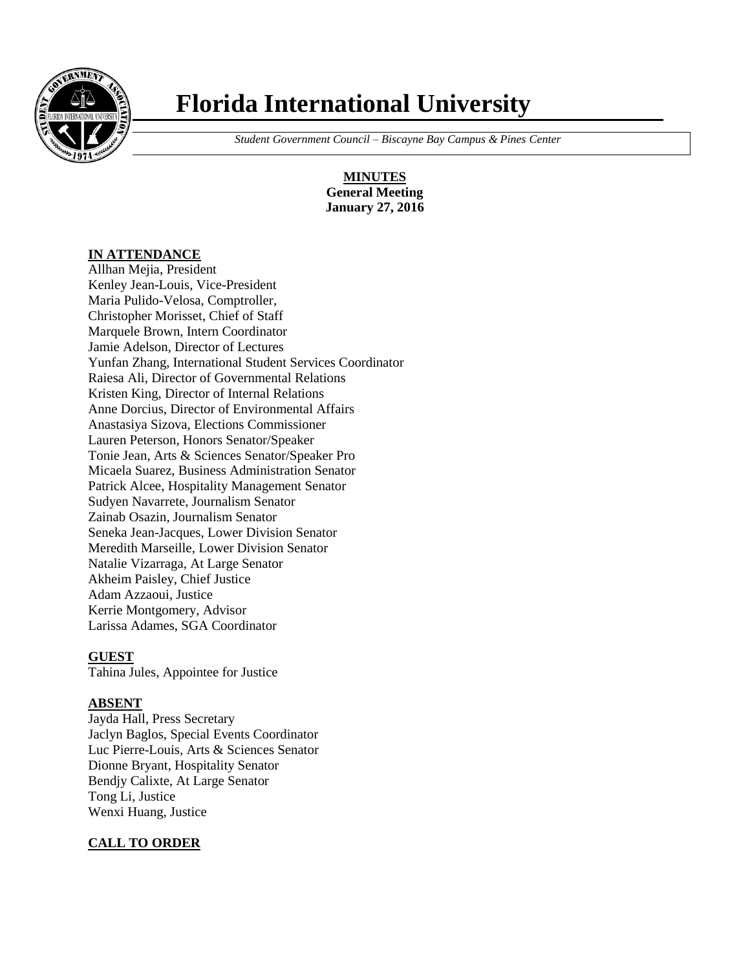

# **Florida International University**

 *Student Government Council – Biscayne Bay Campus & Pines Center*

**MINUTES General Meeting January 27, 2016**

#### **IN ATTENDANCE**

Allhan Mejia, President Kenley Jean-Louis, Vice-President Maria Pulido-Velosa, Comptroller, Christopher Morisset, Chief of Staff Marquele Brown, Intern Coordinator Jamie Adelson, Director of Lectures Yunfan Zhang, International Student Services Coordinator Raiesa Ali, Director of Governmental Relations Kristen King, Director of Internal Relations Anne Dorcius, Director of Environmental Affairs Anastasiya Sizova, Elections Commissioner Lauren Peterson, Honors Senator/Speaker Tonie Jean, Arts & Sciences Senator/Speaker Pro Micaela Suarez, Business Administration Senator Patrick Alcee, Hospitality Management Senator Sudyen Navarrete, Journalism Senator Zainab Osazin, Journalism Senator Seneka Jean-Jacques, Lower Division Senator Meredith Marseille, Lower Division Senator Natalie Vizarraga, At Large Senator Akheim Paisley, Chief Justice Adam Azzaoui, Justice Kerrie Montgomery, Advisor Larissa Adames, SGA Coordinator

## **GUEST**

Tahina Jules, Appointee for Justice

#### **ABSENT**

Jayda Hall, Press Secretary Jaclyn Baglos, Special Events Coordinator Luc Pierre-Louis, Arts & Sciences Senator Dionne Bryant, Hospitality Senator Bendjy Calixte, At Large Senator Tong Li, Justice Wenxi Huang, Justice

#### **CALL TO ORDER**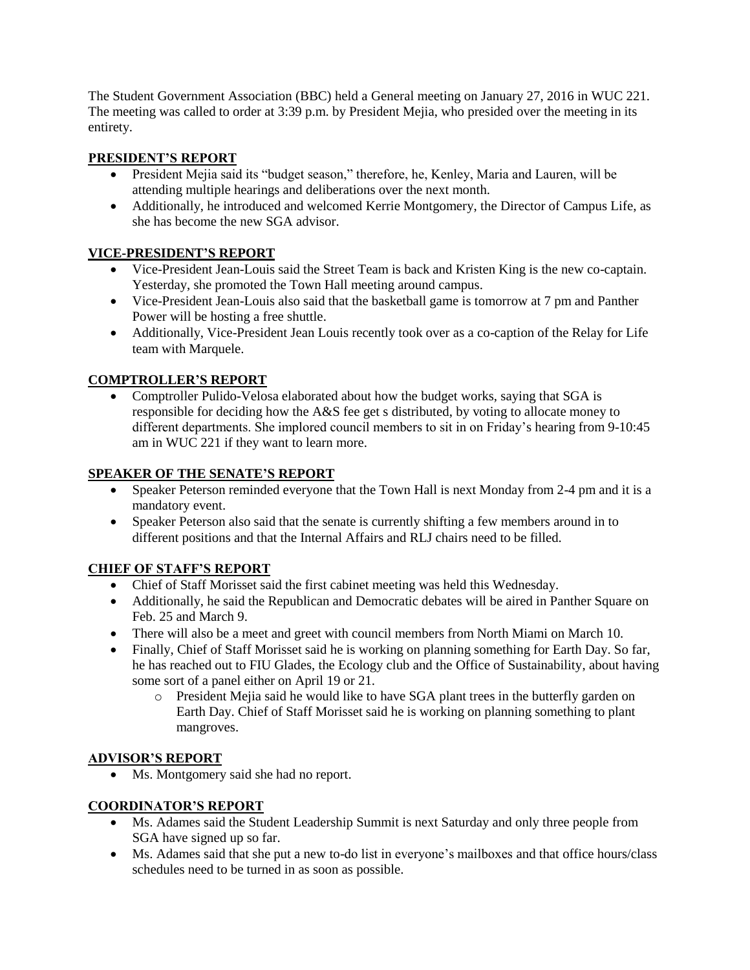The Student Government Association (BBC) held a General meeting on January 27, 2016 in WUC 221. The meeting was called to order at 3:39 p.m. by President Mejia, who presided over the meeting in its entirety.

### **PRESIDENT'S REPORT**

- President Mejia said its "budget season," therefore, he, Kenley, Maria and Lauren, will be attending multiple hearings and deliberations over the next month.
- Additionally, he introduced and welcomed Kerrie Montgomery, the Director of Campus Life, as she has become the new SGA advisor.

## **VICE-PRESIDENT'S REPORT**

- Vice-President Jean-Louis said the Street Team is back and Kristen King is the new co-captain. Yesterday, she promoted the Town Hall meeting around campus.
- Vice-President Jean-Louis also said that the basketball game is tomorrow at 7 pm and Panther Power will be hosting a free shuttle.
- Additionally, Vice-President Jean Louis recently took over as a co-caption of the Relay for Life team with Marquele.

## **COMPTROLLER'S REPORT**

 Comptroller Pulido-Velosa elaborated about how the budget works, saying that SGA is responsible for deciding how the A&S fee get s distributed, by voting to allocate money to different departments. She implored council members to sit in on Friday's hearing from 9-10:45 am in WUC 221 if they want to learn more.

## **SPEAKER OF THE SENATE'S REPORT**

- Speaker Peterson reminded everyone that the Town Hall is next Monday from 2-4 pm and it is a mandatory event.
- Speaker Peterson also said that the senate is currently shifting a few members around in to different positions and that the Internal Affairs and RLJ chairs need to be filled.

## **CHIEF OF STAFF'S REPORT**

- Chief of Staff Morisset said the first cabinet meeting was held this Wednesday.
- Additionally, he said the Republican and Democratic debates will be aired in Panther Square on Feb. 25 and March 9.
- There will also be a meet and greet with council members from North Miami on March 10.
- Finally, Chief of Staff Morisset said he is working on planning something for Earth Day. So far, he has reached out to FIU Glades, the Ecology club and the Office of Sustainability, about having some sort of a panel either on April 19 or 21.
	- o President Mejia said he would like to have SGA plant trees in the butterfly garden on Earth Day. Chief of Staff Morisset said he is working on planning something to plant mangroves.

#### **ADVISOR'S REPORT**

• Ms. Montgomery said she had no report.

#### **COORDINATOR'S REPORT**

- Ms. Adames said the Student Leadership Summit is next Saturday and only three people from SGA have signed up so far.
- Ms. Adames said that she put a new to-do list in everyone's mailboxes and that office hours/class schedules need to be turned in as soon as possible.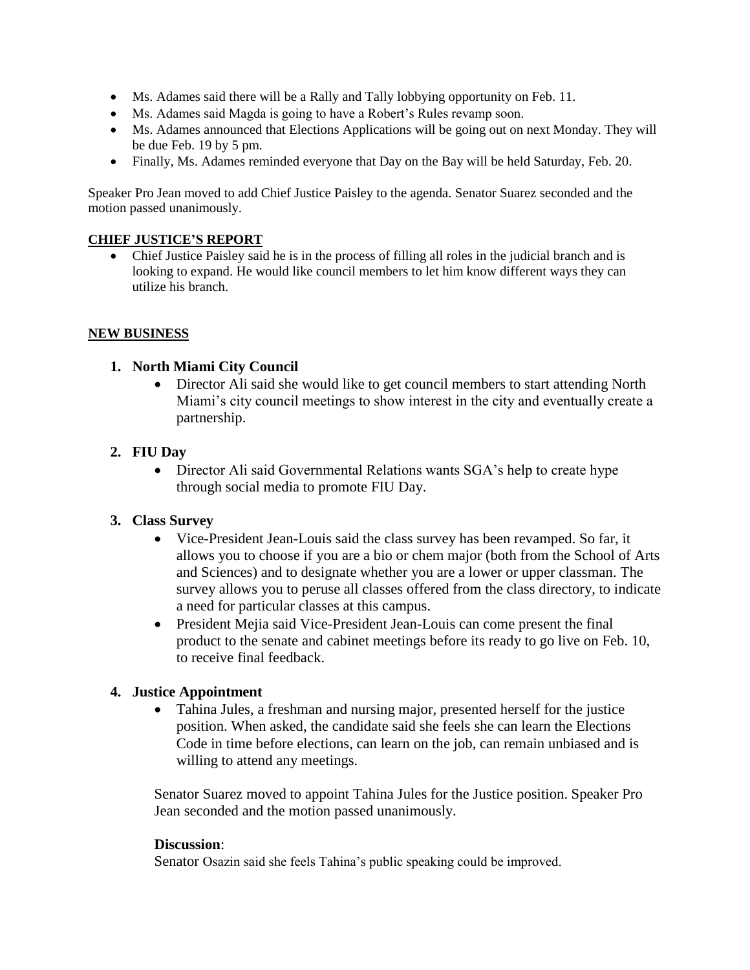- Ms. Adames said there will be a Rally and Tally lobbying opportunity on Feb. 11.
- Ms. Adames said Magda is going to have a Robert's Rules revamp soon.
- Ms. Adames announced that Elections Applications will be going out on next Monday. They will be due Feb. 19 by 5 pm.
- Finally, Ms. Adames reminded everyone that Day on the Bay will be held Saturday, Feb. 20.

Speaker Pro Jean moved to add Chief Justice Paisley to the agenda. Senator Suarez seconded and the motion passed unanimously.

#### **CHIEF JUSTICE'S REPORT**

 Chief Justice Paisley said he is in the process of filling all roles in the judicial branch and is looking to expand. He would like council members to let him know different ways they can utilize his branch.

#### **NEW BUSINESS**

#### **1. North Miami City Council**

 Director Ali said she would like to get council members to start attending North Miami's city council meetings to show interest in the city and eventually create a partnership.

## **2. FIU Day**

• Director Ali said Governmental Relations wants SGA's help to create hype through social media to promote FIU Day.

#### **3. Class Survey**

- Vice-President Jean-Louis said the class survey has been revamped. So far, it allows you to choose if you are a bio or chem major (both from the School of Arts and Sciences) and to designate whether you are a lower or upper classman. The survey allows you to peruse all classes offered from the class directory, to indicate a need for particular classes at this campus.
- President Mejia said Vice-President Jean-Louis can come present the final product to the senate and cabinet meetings before its ready to go live on Feb. 10, to receive final feedback.

#### **4. Justice Appointment**

 Tahina Jules, a freshman and nursing major, presented herself for the justice position. When asked, the candidate said she feels she can learn the Elections Code in time before elections, can learn on the job, can remain unbiased and is willing to attend any meetings.

Senator Suarez moved to appoint Tahina Jules for the Justice position. Speaker Pro Jean seconded and the motion passed unanimously.

#### **Discussion**:

Senator Osazin said she feels Tahina's public speaking could be improved.